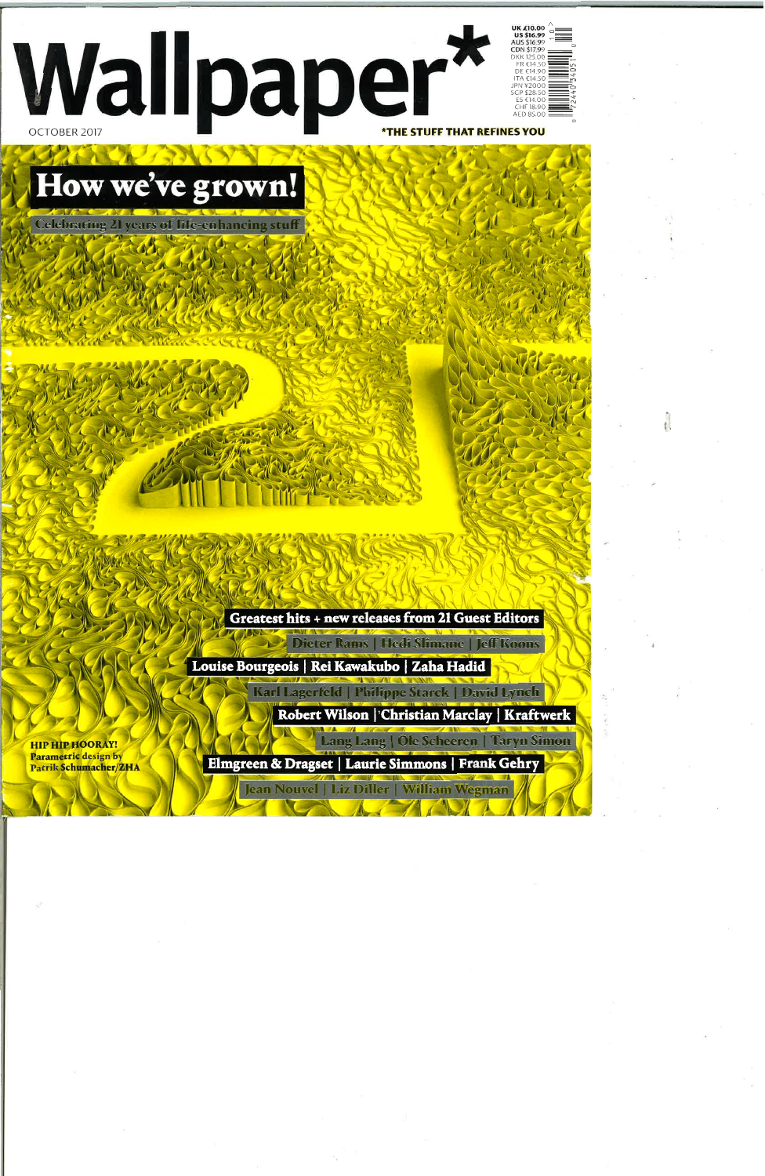

## How we've grown!

**Celebrating 21 years of life-enhancing stuff** 

Greatest hits + new releases from 21 Guest Editors

Louise Bourgeois | Rei Kawakubo | Zaha Hadid |

Robert Wilson | Christian Marclay | Kraftwerk

Lang Lang | Ole Scheeren | Taryn Simon

Karl Lagerfeld | Philippe Starck | David Lynch |

Dieter Rams | Hedi Slimane | Jeff Koons |

**HIP HIP HOORAY!** Parametric design by PatrikSchumacher/ZHA

Elmgreen & Dragset | Laurie Simmons | Frank Gehry

Jean Nouvel | Liz Diller | William Wegman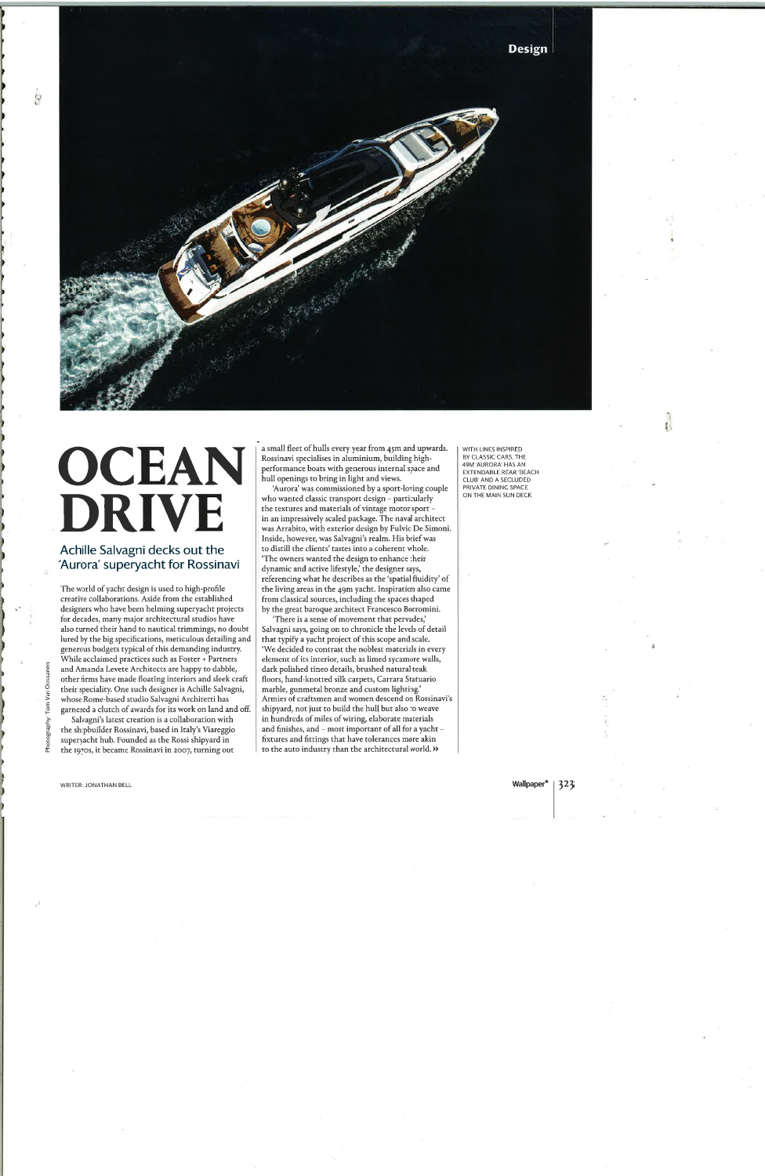

## OCEAN **DRIVE**

## Achille Salvagni decks out the 'Aurora' superyacht for Rossinavi

The world of yacht design is used to high-profile creative collaborations. Aside from the established designers who have been helming superyacht projects for decades, many major architectural studios have also turned their hand to nautical trimmings, no doubt lured by the big specifications, meticulous detailing and generous budgets typical of this demanding industry. While acclaimed practices such as Foster + Partners and Amanda Levete Architects are happy to dabble, other firms have made floating interiors and sleek craft their speciality. One such designer is Achille Salvagni, whose Rome-based studio Salvagni Architetti has garnered a clutch of awards for its work on land and off.

Salvagni's latest creation is a collaboration with the shipbuilder Rossinavi, based in Italy's Viareggio superyacht hub. Founded as the Rossi shipyard in the 1970s, it became Rossinavi in 2007, turning out

a small fleet of hulls every year from 45m and upwards. Rossinavi specialises in aluminium, building highperformance boats with generous internal space and hull openings to bring in light and views.

'Aurora' was commissioned by a sport-loving couple who wanted classic transport design - particularly the textures and materials of vintage motor sport in an impressively scaled package. The naval architect was Arrabito, with exterior design by Fulvio De Simoni. Inside, however, was Salvagni's realm. His brief was to distill the clients' tastes into a coherent whole. 'The owners wanted the design to enhance their dynamic and active lifestyle,' the designer says, referencing what he describes as the 'spatial fluidity' of the living areas in the 49m yacht. Inspiration also came from classical sources, including the spaces shaped by the great baroque architect Francesco Borromini.

'There is a sense of movement that pervades,' Salvagni says, going on to chronicle the levels of detail that typify a yacht project of this scope and scale. 'We decided to contrast the noblest materials in every element of its interior, such as limed sycamore walls, dark polished tineo details, brushed natural teak floors, hand-knotted silk carpets, Carrara Statuario marble, gunmetal bronze and custom lighting.' Armies of craftsmen and women descend on Rossinavi's shipyard, not just to build the hull but also to weave in hundreds of miles of wiring, elaborate materials and finishes, and - most important of all for a yacht fixtures and fittings that have tolerances more akin to the auto industry than the architectural world. »

WITH LINES INSPIRED BY CLASSIC CARS, THE 49M 'AURORA' HAS AN **EXTENDABLE REAR 'BEACH** CLUB' AND A SECLUDED PRIVATE DINING SPACE ON THE MAIN SUN DECK